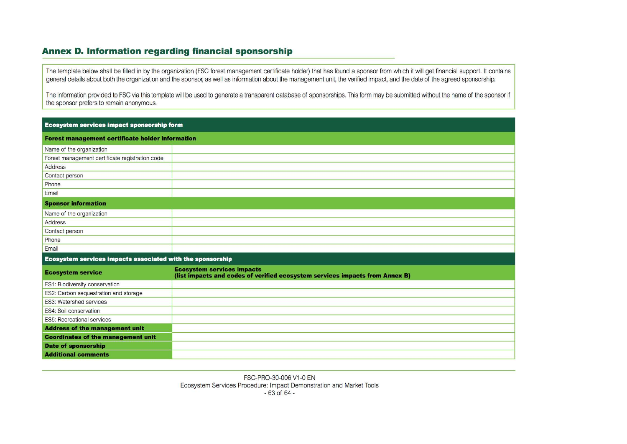## Annex D. Information regarding financial sponsorship

The template below shall be filled in by the organization (FSC forest management certificate holder) that has found a sponsor from which it will get financial support. It contains general details about both the organization and the sponsor, as well as information about the management unit, the verified impact, and the date of the agreed sponsorship.

The information provided to FSC via this template will be used to generate a transparent database of sponsorships. This form may be submitted without the name of the sponsor if the sponsor prefers to remain anonymous.

| <b>Ecosystem services impact sponsorship form</b>          |                                                                                                                   |  |  |  |  |  |  |  |  |  |
|------------------------------------------------------------|-------------------------------------------------------------------------------------------------------------------|--|--|--|--|--|--|--|--|--|
| <b>Forest management certificate holder information</b>    |                                                                                                                   |  |  |  |  |  |  |  |  |  |
| Name of the organization                                   |                                                                                                                   |  |  |  |  |  |  |  |  |  |
| Forest management certificate registration code            |                                                                                                                   |  |  |  |  |  |  |  |  |  |
| Address                                                    |                                                                                                                   |  |  |  |  |  |  |  |  |  |
| Contact person                                             |                                                                                                                   |  |  |  |  |  |  |  |  |  |
| Phone                                                      |                                                                                                                   |  |  |  |  |  |  |  |  |  |
| Email                                                      |                                                                                                                   |  |  |  |  |  |  |  |  |  |
| <b>Sponsor information</b>                                 |                                                                                                                   |  |  |  |  |  |  |  |  |  |
| Name of the organization                                   |                                                                                                                   |  |  |  |  |  |  |  |  |  |
| Address                                                    |                                                                                                                   |  |  |  |  |  |  |  |  |  |
| Contact person                                             |                                                                                                                   |  |  |  |  |  |  |  |  |  |
| Phone                                                      |                                                                                                                   |  |  |  |  |  |  |  |  |  |
| Email                                                      |                                                                                                                   |  |  |  |  |  |  |  |  |  |
| Ecosystem services impacts associated with the sponsorship |                                                                                                                   |  |  |  |  |  |  |  |  |  |
| <b>Ecosystem service</b>                                   | <b>Ecosystem services impacts</b><br>(list impacts and codes of verified ecosystem services impacts from Annex B) |  |  |  |  |  |  |  |  |  |
| ES1: Biodiversity conservation                             |                                                                                                                   |  |  |  |  |  |  |  |  |  |
| ES2: Carbon sequestration and storage                      |                                                                                                                   |  |  |  |  |  |  |  |  |  |
| <b>ES3: Watershed services</b>                             |                                                                                                                   |  |  |  |  |  |  |  |  |  |
| <b>ES4: Soil conservation</b>                              |                                                                                                                   |  |  |  |  |  |  |  |  |  |
| <b>ES5: Recreational services</b>                          |                                                                                                                   |  |  |  |  |  |  |  |  |  |
| <b>Address of the management unit</b>                      |                                                                                                                   |  |  |  |  |  |  |  |  |  |
| <b>Coordinates of the management unit</b>                  |                                                                                                                   |  |  |  |  |  |  |  |  |  |
| <b>Date of sponsorship</b>                                 |                                                                                                                   |  |  |  |  |  |  |  |  |  |
| <b>Additional comments</b>                                 |                                                                                                                   |  |  |  |  |  |  |  |  |  |